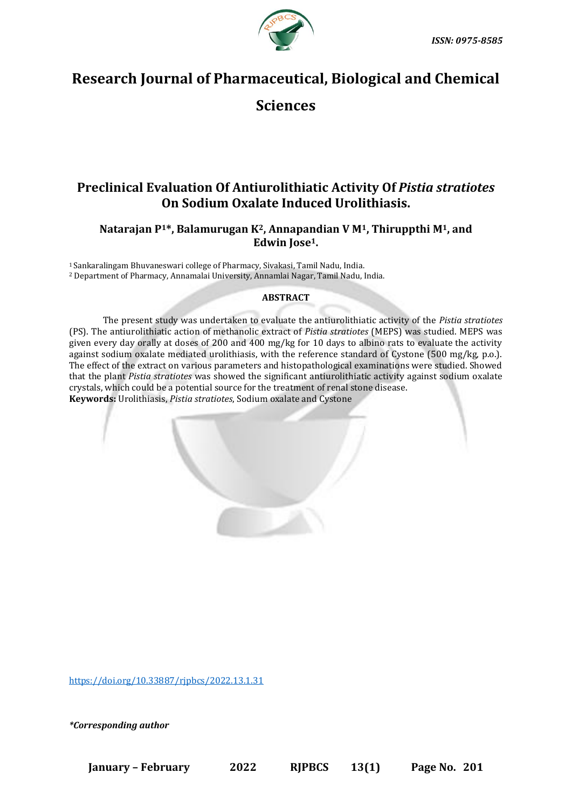

# **Research Journal of Pharmaceutical, Biological and Chemical**

# **Sciences**

# **Preclinical Evaluation Of Antiurolithiatic Activity Of** *Pistia stratiotes* **On Sodium Oxalate Induced Urolithiasis.**

# **Natarajan P1\*, Balamurugan K2, Annapandian V M1, Thiruppthi M1, and Edwin Jose1.**

<sup>1</sup>Sankaralingam Bhuvaneswari college of Pharmacy, Sivakasi, Tamil Nadu, India. <sup>2</sup> Department of Pharmacy, Annamalai University, Annamlai Nagar, Tamil Nadu, India.

# **ABSTRACT**

The present study was undertaken to evaluate the antiurolithiatic activity of the *Pistia stratiotes* (PS). The antiurolithiatic action of methanolic extract of *Pistia stratiotes* (MEPS) was studied. MEPS was given every day orally at doses of 200 and 400 mg/kg for 10 days to albino rats to evaluate the activity against sodium oxalate mediated urolithiasis, with the reference standard of Cystone (500 mg/kg, p.o.). The effect of the extract on various parameters and histopathological examinations were studied. Showed that the plant *Pistia stratiotes* was showed the significant antiurolithiatic activity against sodium oxalate crystals, which could be a potential source for the treatment of renal stone disease. **Keywords:** Urolithiasis, *Pistia stratiotes*, Sodium oxalate and Cystone

<https://doi.org/10.33887/rjpbcs/2022.13.1.31>

*\*Corresponding author*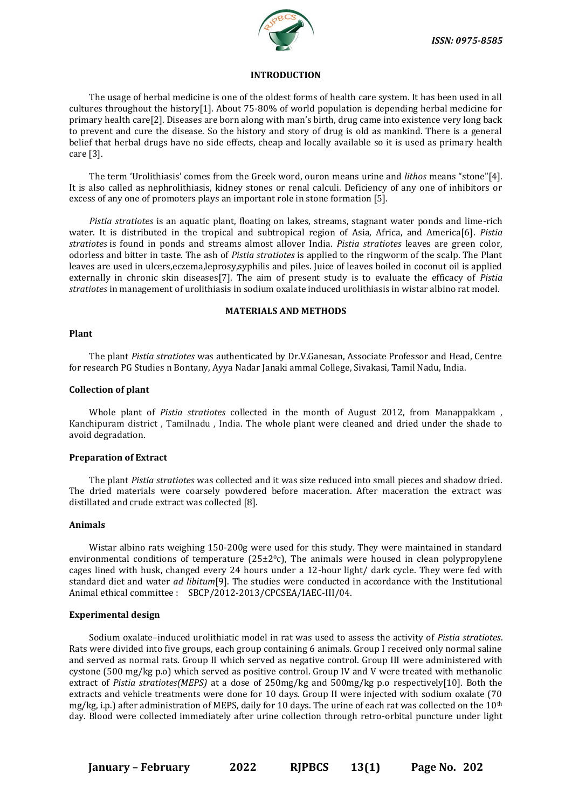

#### **INTRODUCTION**

The usage of herbal medicine is one of the oldest forms of health care system. It has been used in all cultures throughout the history[1]. About 75-80% of world population is depending herbal medicine for primary health care[2]. Diseases are born along with man's birth, drug came into existence very long back to prevent and cure the disease. So the history and story of drug is old as mankind. There is a general belief that herbal drugs have no side effects, cheap and locally available so it is used as primary health care [3].

The term 'Urolithiasis' comes from the Greek word, ouron means urine and *lithos* means "stone"[4]. It is also called as nephrolithiasis, kidney stones or renal calculi. Deficiency of any one of inhibitors or excess of any one of promoters plays an important role in stone formation [5].

*Pistia stratiotes* is an aquatic plant, floating on lakes, streams, stagnant water ponds and lime-rich water. It is distributed in the tropical and subtropical region of Asia, Africa, and America[6]. *Pistia stratiotes* is found in ponds and streams almost allover India. *Pistia stratiotes* leaves are green color, odorless and bitter in taste. The ash of *Pistia stratiotes* is applied to the ringworm of the scalp. The Plant leaves are used in ulcers,eczema,leprosy,syphilis and piles. Juice of leaves boiled in coconut oil is applied externally in chronic skin diseases[7]. The aim of present study is to evaluate the efficacy of *Pistia stratiotes* in management of urolithiasis in sodium oxalate induced urolithiasis in wistar albino rat model.

### **MATERIALS AND METHODS**

#### **Plant**

The plant *Pistia stratiotes* was authenticated by Dr.V.Ganesan, Associate Professor and Head, Centre for research PG Studies n Bontany, Ayya Nadar Janaki ammal College, Sivakasi, Tamil Nadu, India.

#### **Collection of plant**

Whole plant of *Pistia stratiotes* collected in the month of August 2012, from Manappakkam , Kanchipuram district , Tamilnadu , India. The whole plant were cleaned and dried under the shade to avoid degradation.

### **Preparation of Extract**

The plant *Pistia stratiotes* was collected and it was size reduced into small pieces and shadow dried. The dried materials were coarsely powdered before maceration. After maceration the extract was distillated and crude extract was collected [8].

### **Animals**

Wistar albino rats weighing 150-200g were used for this study. They were maintained in standard environmental conditions of temperature  $(25\pm2\degree c)$ , The animals were housed in clean polypropylene cages lined with husk, changed every 24 hours under a 12-hour light/ dark cycle. They were fed with standard diet and water *ad libitum*[9]. The studies were conducted in accordance with the Institutional Animal ethical committee : SBCP/2012-2013/CPCSEA/IAEC-III/04.

#### **Experimental design**

Sodium oxalate–induced urolithiatic model in rat was used to assess the activity of *Pistia stratiotes*. Rats were divided into five groups, each group containing 6 animals. Group I received only normal saline and served as normal rats. Group II which served as negative control. Group III were administered with cystone (500 mg/kg p.o) which served as positive control. Group IV and V were treated with methanolic extract of *Pistia stratiotes(MEPS)* at a dose of 250mg/kg and 500mg/kg p.o respectively[10]. Both the extracts and vehicle treatments were done for 10 days. Group II were injected with sodium oxalate (70 mg/kg, i.p.) after administration of MEPS, daily for 10 days. The urine of each rat was collected on the  $10<sup>th</sup>$ day. Blood were collected immediately after urine collection through retro-orbital puncture under light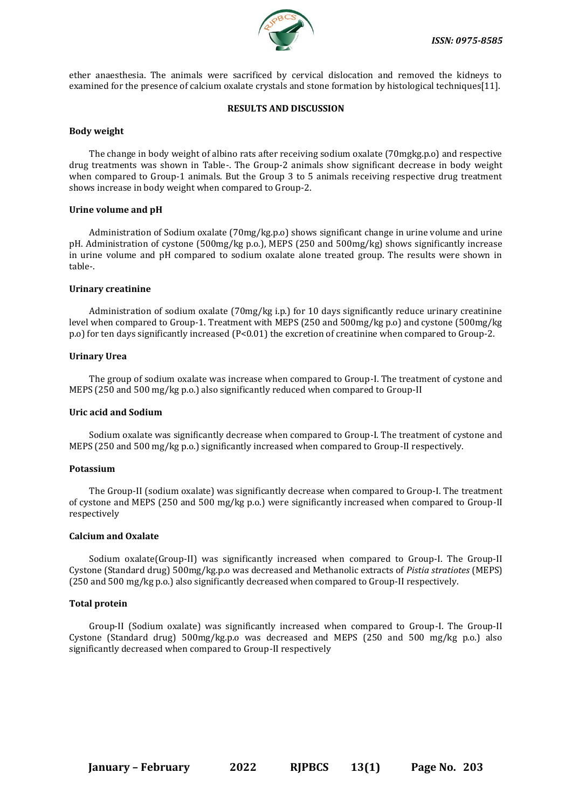

ether anaesthesia. The animals were sacrificed by cervical dislocation and removed the kidneys to examined for the presence of calcium oxalate crystals and stone formation by histological techniques[11].

#### **RESULTS AND DISCUSSION**

#### **Body weight**

The change in body weight of albino rats after receiving sodium oxalate (70mgkg.p.o) and respective drug treatments was shown in Table-. The Group-2 animals show significant decrease in body weight when compared to Group-1 animals. But the Group 3 to 5 animals receiving respective drug treatment shows increase in body weight when compared to Group-2.

#### **Urine volume and pH**

Administration of Sodium oxalate (70mg/kg.p.o) shows significant change in urine volume and urine pH. Administration of cystone (500mg/kg p.o.), MEPS (250 and 500mg/kg) shows significantly increase in urine volume and pH compared to sodium oxalate alone treated group. The results were shown in table-.

#### **Urinary creatinine**

Administration of sodium oxalate (70mg/kg i.p.) for 10 days significantly reduce urinary creatinine level when compared to Group-1. Treatment with MEPS (250 and 500mg/kg p.o) and cystone (500mg/kg p.o) for ten days significantly increased (P<0.01) the excretion of creatinine when compared to Group-2.

#### **Urinary Urea**

The group of sodium oxalate was increase when compared to Group-I. The treatment of cystone and MEPS (250 and 500 mg/kg p.o.) also significantly reduced when compared to Group-II

#### **Uric acid and Sodium**

Sodium oxalate was significantly decrease when compared to Group-I. The treatment of cystone and MEPS (250 and 500 mg/kg p.o.) significantly increased when compared to Group-II respectively.

### **Potassium**

The Group-II (sodium oxalate) was significantly decrease when compared to Group-I. The treatment of cystone and MEPS (250 and 500 mg/kg p.o.) were significantly increased when compared to Group-II respectively

### **Calcium and Oxalate**

Sodium oxalate(Group-II) was significantly increased when compared to Group-I. The Group-II Cystone (Standard drug) 500mg/kg.p.o was decreased and Methanolic extracts of *Pistia stratiotes* (MEPS) (250 and 500 mg/kg p.o.) also significantly decreased when compared to Group-II respectively.

### **Total protein**

Group-II (Sodium oxalate) was significantly increased when compared to Group-I. The Group-II Cystone (Standard drug) 500mg/kg.p.o was decreased and MEPS (250 and 500 mg/kg p.o.) also significantly decreased when compared to Group-II respectively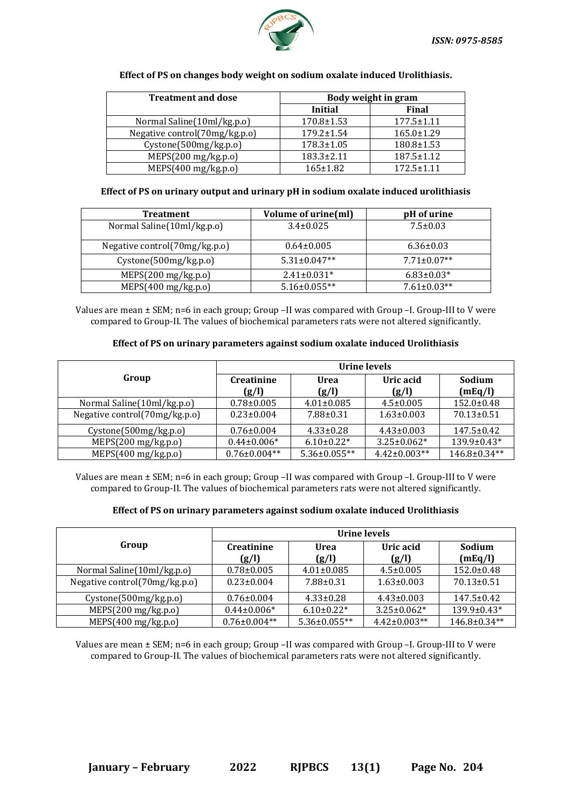

| <b>Treatment and dose</b>     | Body weight in gram |                  |  |
|-------------------------------|---------------------|------------------|--|
|                               | Initial             | Final            |  |
| Normal Saline(10ml/kg.p.o)    | $170.8 \pm 1.53$    | $177.5 \pm 1.11$ |  |
| Negative control(70mg/kg.p.o) | $179.2 \pm 1.54$    | $165.0 \pm 1.29$ |  |
| Cystone(500mg/kg.p.o)         | $178.3 \pm 1.05$    | 180.8±1.53       |  |
| MEPS(200 mg/kg.p.o)           | 183.3±2.11          | 187.5±1.12       |  |
| MEPS(400 mg/kg.p.o)           | $165 \pm 1.82$      | $172.5 \pm 1.11$ |  |

### **Effect of PS on changes body weight on sodium oxalate induced Urolithiasis.**

# **Effect of PS on urinary output and urinary pH in sodium oxalate induced urolithiasis**

| <b>Treatment</b>                 | Volume of urine(ml) | pH of urine       |
|----------------------------------|---------------------|-------------------|
| Normal Saline(10ml/kg.p.o)       | $3.4 \pm 0.025$     | $7.5 \pm 0.03$    |
| Negative control $(70mg/kg.p.o)$ | $0.64 \pm 0.005$    | $6.36 \pm 0.03$   |
| Cystone(500mg/kg.p.o)            | $5.31 \pm 0.047**$  | $7.71 \pm 0.07**$ |
| MEPS(200 mg/kg.p.o)              | $2.41 \pm 0.031*$   | $6.83 \pm 0.03*$  |
| MEPS(400 mg/kg.p.o)              | $5.16 \pm 0.055**$  | $7.61 \pm 0.03**$ |

Values are mean ± SEM; n=6 in each group; Group –II was compared with Group –I. Group-III to V were compared to Group-II. The values of biochemical parameters rats were not altered significantly.

# **Effect of PS on urinary parameters against sodium oxalate induced Urolithiasis**

|                               | Urine levels               |                    |                    |                   |
|-------------------------------|----------------------------|--------------------|--------------------|-------------------|
| Group                         | <b>Creatinine</b><br>(g/l) | Urea<br>(g/l)      | Uric acid<br>(g/l) | Sodium<br>(mEq/l) |
| Normal Saline(10ml/kg.p.o)    | $0.78 \pm 0.005$           | $4.01 \pm 0.085$   | $4.5 \pm 0.005$    | $152.0 \pm 0.48$  |
| Negative control(70mg/kg.p.o) | $0.23 \pm 0.004$           | $7.88 \pm 0.31$    | $1.63 \pm 0.003$   | $70.13 \pm 0.51$  |
| Cystone(500mg/kg.p.o)         | $0.76 \pm 0.004$           | $4.33 \pm 0.28$    | $4.43 \pm 0.003$   | $147.5 \pm 0.42$  |
| MEPS(200 mg/kg.p.o)           | $0.44\pm0.006*$            | $6.10 \pm 0.22$ *  | $3.25 \pm 0.062*$  | $139.9 \pm 0.43*$ |
| MEPS(400 mg/kg.p.o)           | $0.76 \pm 0.004**$         | $5.36 \pm 0.055**$ | $4.42 \pm 0.003**$ | $146.8\pm0.34**$  |

Values are mean ± SEM; n=6 in each group; Group –II was compared with Group –I. Group-III to V were compared to Group-II. The values of biochemical parameters rats were not altered significantly.

### **Effect of PS on urinary parameters against sodium oxalate induced Urolithiasis**

|                                  | Urine levels               |                    |                    |                    |
|----------------------------------|----------------------------|--------------------|--------------------|--------------------|
| Group                            | <b>Creatinine</b><br>(g/l) | Urea<br>(g/l)      | Uric acid<br>(g/l) | Sodium<br>(mEq/l)  |
| Normal Saline (10ml/kg.p.o)      | $0.78 \pm 0.005$           | $4.01 \pm 0.085$   | $4.5 \pm 0.005$    | $152.0 \pm 0.48$   |
| Negative control $(70mg/kg.p.o)$ | $0.23 \pm 0.004$           | $7.88 \pm 0.31$    | $1.63 \pm 0.003$   | $70.13 \pm 0.51$   |
| Cystone(500mg/kg.p.o)            | $0.76 \pm 0.004$           | $4.33 \pm 0.28$    | $4.43 \pm 0.003$   | $147.5 \pm 0.42$   |
| MEPS(200 mg/kg.p.o)              | $0.44\pm0.006*$            | $6.10\pm0.22*$     | $3.25 \pm 0.062*$  | 139.9±0.43*        |
| MEPS(400 mg/kg.p.o)              | $0.76 \pm 0.004**$         | $5.36 \pm 0.055**$ | $4.42 \pm 0.003**$ | $146.8 \pm 0.34**$ |

Values are mean ± SEM; n=6 in each group; Group –II was compared with Group –I. Group-III to V were compared to Group-II. The values of biochemical parameters rats were not altered significantly.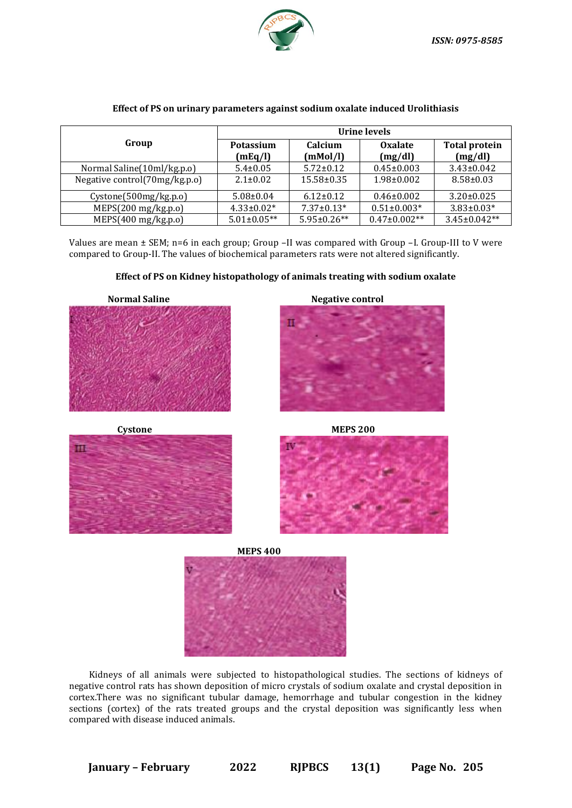

|                               | Urine levels                |                     |                           |                                 |
|-------------------------------|-----------------------------|---------------------|---------------------------|---------------------------------|
| Group                         | <b>Potassium</b><br>(mEq/l) | Calcium<br>(mMol/l) | <b>Oxalate</b><br>(mg/dl) | <b>Total protein</b><br>(mg/dl) |
| Normal Saline (10ml/kg.p.o)   | $5.4 \pm 0.05$              | $5.72 \pm 0.12$     | $0.45 \pm 0.003$          | $3.43 \pm 0.042$                |
| Negative control(70mg/kg.p.o) | $2.1 \pm 0.02$              | $15.58 \pm 0.35$    | $1.98 \pm 0.002$          | $8.58 \pm 0.03$                 |
| Cystone(500mg/kg.p.o)         | $5.08 \pm 0.04$             | $6.12 \pm 0.12$     | $0.46 \pm 0.002$          | $3.20 \pm 0.025$                |
| MEPS(200 mg/kg.p.o)           | $4.33 \pm 0.02*$            | $7.37 \pm 0.13*$    | $0.51 \pm 0.003*$         | $3.83 \pm 0.03*$                |
| MEPS(400 mg/kg.p.o)           | $5.01 \pm 0.05**$           | $5.95 \pm 0.26**$   | $0.47 \pm 0.002**$        | $3.45 \pm 0.042**$              |

### **Effect of PS on urinary parameters against sodium oxalate induced Urolithiasis**

Values are mean ± SEM; n=6 in each group; Group –II was compared with Group –I. Group-III to V were compared to Group-II. The values of biochemical parameters rats were not altered significantly.

# **Effect of PS on Kidney histopathology of animals treating with sodium oxalate**











Kidneys of all animals were subjected to histopathological studies. The sections of kidneys of negative control rats has shown deposition of micro crystals of sodium oxalate and crystal deposition in cortex.There was no significant tubular damage, hemorrhage and tubular congestion in the kidney sections (cortex) of the rats treated groups and the crystal deposition was significantly less when compared with disease induced animals.

**January – February 2022 RJPBCS 13(1) Page No. 205**